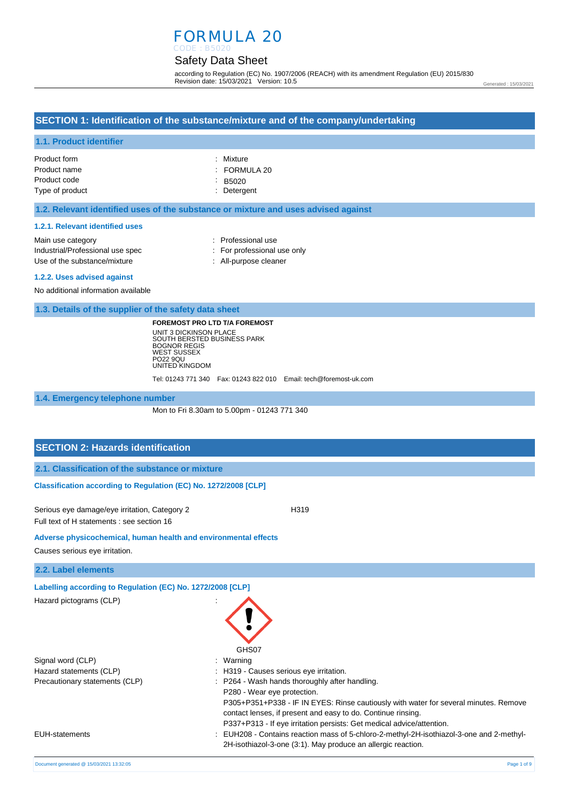# FORMULA 20

#### Safety Data Sheet CODE : B5020

according to Regulation (EC) No. 1907/2006 (REACH) with its amendment Regulation (EU) 2015/830 Revision date: 15/03/2021 Version: 10.5

Generated : 15/03/2021

# **SECTION 1: Identification of the substance/mixture and of the company/undertaking**

#### **1.1. Product identifier**

| Product form    | : Mixture               |
|-----------------|-------------------------|
| Product name    | $\therefore$ FORMULA 20 |
| Product code    | $-B5020$                |
| Type of product | : Detergent             |

#### **1.2. Relevant identified uses of the substance or mixture and uses advised against**

#### **1.2.1. Relevant identified uses**

| Main use category                | : Professional use          |
|----------------------------------|-----------------------------|
| Industrial/Professional use spec | : For professional use only |
| Use of the substance/mixture     | : All-purpose cleaner       |
|                                  |                             |

#### **1.2.2. Uses advised against**

No additional information available

**1.3. Details of the supplier of the safety data sheet**

**FOREMOST PRO LTD T/A FOREMOST** UNIT 3 DICKINSON PLACE SOUTH BERSTED BUSINESS PARK BOGNOR REGIS WEST SUSSEX PO22 9QU UNITED KINGDOM

Tel: 01243 771 340 Fax: 01243 822 010 Email: tech@foremost-uk.com

**1.4. Emergency telephone number**

Mon to Fri 8.30am to 5.00pm - 01243 771 340

# **SECTION 2: Hazards identification**

|  | 2.1. Classification of the substance or mixture |  |  |  |
|--|-------------------------------------------------|--|--|--|
|--|-------------------------------------------------|--|--|--|

# **Classification according to Regulation (EC) No. 1272/2008 [CLP]**

Serious eye damage/eye irritation, Category 2 <br>
H319 Full text of H statements : see section 16

**Adverse physicochemical, human health and environmental effects** 

Causes serious eye irritation.

**2.2. Label elements**

**Labelling according to Regulation (EC) No. 1272/2008 [CLP]** 

Hazard pictograms (CLP) :

Signal word (CLP)  $\qquad \qquad$ : Warning Hazard statements (CLP)  $\qquad \qquad$ : H319 - Causes serious eye irritation. Precautionary statements (CLP) : P264 - Wash hands thoroughly after handling.

EUH-statements : EUH208 - Contains reaction mass of 5-chloro-2-methyl-2H-isothiazol-3-one and 2-methyl-

Document generated @ 15/03/2021 13:32:05 Page 1 of 9

GHS07

P280 - Wear eye protection.

P305+P351+P338 - IF IN EYES: Rinse cautiously with water for several minutes. Remove

contact lenses, if present and easy to do. Continue rinsing. P337+P313 - If eye irritation persists: Get medical advice/attention.

2H-isothiazol-3-one (3:1). May produce an allergic reaction.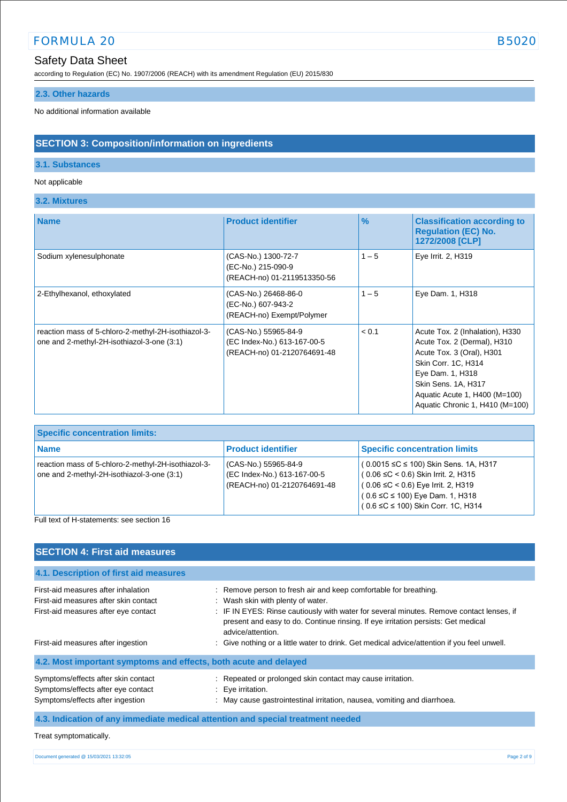according to Regulation (EC) No. 1907/2006 (REACH) with its amendment Regulation (EU) 2015/830

# **2.3. Other hazards**

No additional information available

# **SECTION 3: Composition/information on ingredients**

# **3.1. Substances**

# Not applicable

**3.2. Mixtures**

| <b>Name</b>                                                                                       | <b>Product identifier</b>                                                          | $\%$    | <b>Classification according to</b><br><b>Regulation (EC) No.</b><br>1272/2008 [CLP]                                                                                                                                               |
|---------------------------------------------------------------------------------------------------|------------------------------------------------------------------------------------|---------|-----------------------------------------------------------------------------------------------------------------------------------------------------------------------------------------------------------------------------------|
| Sodium xylenesulphonate                                                                           | (CAS-No.) 1300-72-7<br>(EC-No.) 215-090-9<br>(REACH-no) 01-2119513350-56           | $1 - 5$ | Eye Irrit. 2, H319                                                                                                                                                                                                                |
| 2-Ethylhexanol, ethoxylated                                                                       | (CAS-No.) 26468-86-0<br>(EC-No.) 607-943-2<br>(REACH-no) Exempt/Polymer            | $1 - 5$ | Eye Dam. 1, H318                                                                                                                                                                                                                  |
| reaction mass of 5-chloro-2-methyl-2H-isothiazol-3-<br>one and 2-methyl-2H-isothiazol-3-one (3:1) | (CAS-No.) 55965-84-9<br>(EC Index-No.) 613-167-00-5<br>(REACH-no) 01-2120764691-48 | < 0.1   | Acute Tox. 2 (Inhalation), H330<br>Acute Tox. 2 (Dermal), H310<br>Acute Tox. 3 (Oral), H301<br>Skin Corr. 1C, H314<br>Eye Dam. 1, H318<br>Skin Sens. 1A, H317<br>Aquatic Acute 1, H400 (M=100)<br>Aquatic Chronic 1, H410 (M=100) |

| <b>Specific concentration limits:</b>                                                               |                                                                                    |                                                                                                                                                                                                                        |
|-----------------------------------------------------------------------------------------------------|------------------------------------------------------------------------------------|------------------------------------------------------------------------------------------------------------------------------------------------------------------------------------------------------------------------|
| <b>Name</b>                                                                                         | <b>Product identifier</b>                                                          | <b>Specific concentration limits</b>                                                                                                                                                                                   |
| reaction mass of 5-chloro-2-methyl-2H-isothiazol-3-<br>one and 2-methyl-2H-isothiazol-3-one $(3:1)$ | (CAS-No.) 55965-84-9<br>(EC Index-No.) 613-167-00-5<br>(REACH-no) 01-2120764691-48 | $(0.0015 \leq C \leq 100)$ Skin Sens. 1A, H317<br>$(0.06 ≤ C < 0.6)$ Skin Irrit. 2, H315<br>$(0.06 ≤ C < 0.6)$ Eye Irrit. 2, H319<br>$(0.6 \leq C \leq 100)$ Eye Dam. 1, H318<br>$(0.6 ≤ C ≤ 100)$ Skin Corr. 1C, H314 |

Full text of H-statements: see section 16

| <b>SECTION 4: First aid measures</b>                                                                                 |                                                                                                                                                                                                                                                                                                             |
|----------------------------------------------------------------------------------------------------------------------|-------------------------------------------------------------------------------------------------------------------------------------------------------------------------------------------------------------------------------------------------------------------------------------------------------------|
| 4.1. Description of first aid measures                                                                               |                                                                                                                                                                                                                                                                                                             |
| First-aid measures after inhalation<br>First-aid measures after skin contact<br>First-aid measures after eye contact | : Remove person to fresh air and keep comfortable for breathing.<br>: Wash skin with plenty of water.<br>: IF IN EYES: Rinse cautiously with water for several minutes. Remove contact lenses, if<br>present and easy to do. Continue rinsing. If eye irritation persists: Get medical<br>advice/attention. |
| First-aid measures after ingestion                                                                                   | : Give nothing or a little water to drink. Get medical advice/attention if you feel unwell.                                                                                                                                                                                                                 |
| 4.2. Most important symptoms and effects, both acute and delayed                                                     |                                                                                                                                                                                                                                                                                                             |
| Symptoms/effects after skin contact<br>Symptoms/effects after eye contact<br>Symptoms/effects after ingestion        | : Repeated or prolonged skin contact may cause irritation.<br>: Eye irritation.<br>: May cause gastrointestinal irritation, nausea, vomiting and diarrhoea.                                                                                                                                                 |
|                                                                                                                      | 4.3. Indication of any immediate medical attention and special treatment needed                                                                                                                                                                                                                             |

```
Treat symptomatically.
```

```
Document generated @ 15/03/2021 13:32:05 Page 2 of 9
```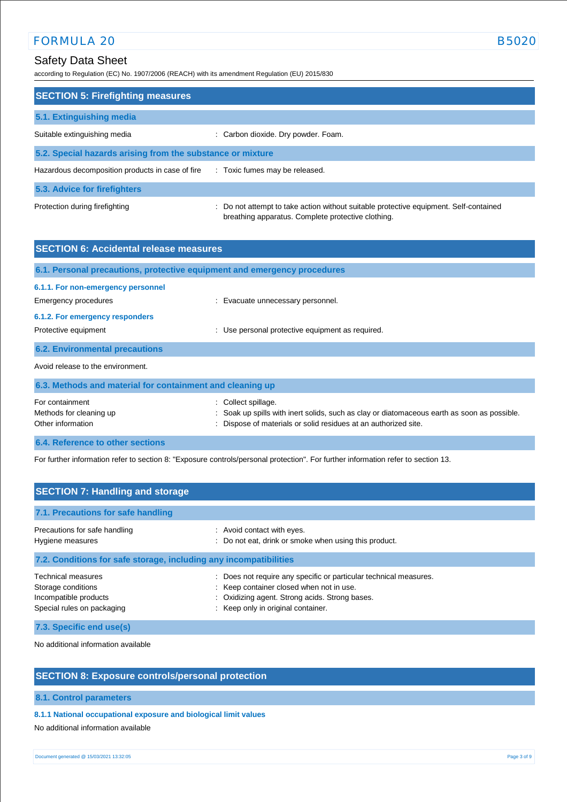# Safety Data Sheet

according to Regulation (EC) No. 1907/2006 (REACH) with its amendment Regulation (EU) 2015/830

| <b>SECTION 5: Firefighting measures</b>                    |                                                                                                                                             |
|------------------------------------------------------------|---------------------------------------------------------------------------------------------------------------------------------------------|
| 5.1. Extinguishing media                                   |                                                                                                                                             |
| Suitable extinguishing media                               | : Carbon dioxide. Dry powder. Foam.                                                                                                         |
| 5.2. Special hazards arising from the substance or mixture |                                                                                                                                             |
| Hazardous decomposition products in case of fire           | : Toxic fumes may be released.                                                                                                              |
| 5.3. Advice for firefighters                               |                                                                                                                                             |
| Protection during firefighting                             | : Do not attempt to take action without suitable protective equipment. Self-contained<br>breathing apparatus. Complete protective clothing. |

| <b>SECTION 6: Accidental release measures</b>                                                 |                                                                                                                                                                                 |
|-----------------------------------------------------------------------------------------------|---------------------------------------------------------------------------------------------------------------------------------------------------------------------------------|
| 6.1. Personal precautions, protective equipment and emergency procedures                      |                                                                                                                                                                                 |
| 6.1.1. For non-emergency personnel<br>Emergency procedures<br>6.1.2. For emergency responders | Evacuate unnecessary personnel.                                                                                                                                                 |
| Protective equipment<br><b>6.2. Environmental precautions</b>                                 | Use personal protective equipment as required.                                                                                                                                  |
| Avoid release to the environment.                                                             |                                                                                                                                                                                 |
| 6.3. Methods and material for containment and cleaning up                                     |                                                                                                                                                                                 |
| For containment<br>Methods for cleaning up<br>Other information                               | Collect spillage.<br>Soak up spills with inert solids, such as clay or diatomaceous earth as soon as possible.<br>Dispose of materials or solid residues at an authorized site. |

**6.4. Reference to other sections**

For further information refer to section 8: "Exposure controls/personal protection". For further information refer to section 13.

| <b>SECTION 7: Handling and storage</b>                                                                 |                                                                                                                                                                                                       |
|--------------------------------------------------------------------------------------------------------|-------------------------------------------------------------------------------------------------------------------------------------------------------------------------------------------------------|
| 7.1. Precautions for safe handling                                                                     |                                                                                                                                                                                                       |
| Precautions for safe handling<br>Hygiene measures                                                      | : Avoid contact with eyes.<br>: Do not eat, drink or smoke when using this product.                                                                                                                   |
| 7.2. Conditions for safe storage, including any incompatibilities                                      |                                                                                                                                                                                                       |
| <b>Technical measures</b><br>Storage conditions<br>Incompatible products<br>Special rules on packaging | : Does not require any specific or particular technical measures.<br>: Keep container closed when not in use.<br>: Oxidizing agent. Strong acids. Strong bases.<br>: Keep only in original container. |

**7.3. Specific end use(s)**

No additional information available

# **SECTION 8: Exposure controls/personal protection**

#### **8.1. Control parameters**

## **8.1.1 National occupational exposure and biological limit values**

No additional information available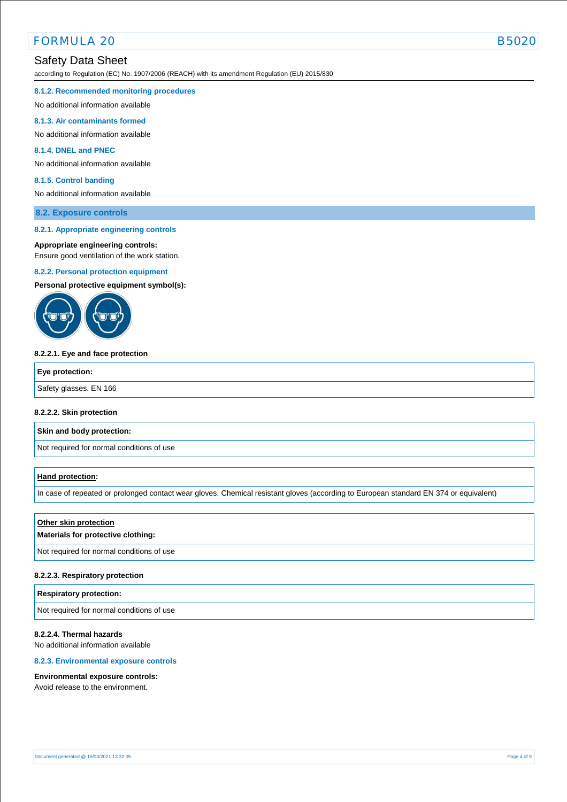# FORMULA 20

# Safety Data Sheet

according to Regulation (EC) No. 1907/2006 (REACH) with its amendment Regulation (EU) 2015/830

#### **8.1.2. Recommended monitoring procedures**

No additional information available

# **8.1.3. Air contaminants formed**

No additional information available

# **8.1.4. DNEL and PNEC**

No additional information available

## **8.1.5. Control banding**

No additional information available

# **8.2. Exposure controls**

# **8.2.1. Appropriate engineering controls**

# **Appropriate engineering controls:**

Ensure good ventilation of the work station.

# **8.2.2. Personal protection equipment**

**Personal protective equipment symbol(s):**



# **8.2.2.1. Eye and face protection**

| Safety glasses. EN 166 |  |
|------------------------|--|

# **8.2.2.2. Skin protection**

**Skin and body protection:**

Not required for normal conditions of use

# **Hand protection:**

In case of repeated or prolonged contact wear gloves. Chemical resistant gloves (according to European standard EN 374 or equivalent)

# **Other skin protection**

# **Materials for protective clothing:**

Not required for normal conditions of use

# **8.2.2.3. Respiratory protection**

# **Respiratory protection:**

Not required for normal conditions of use

# **8.2.2.4. Thermal hazards**

No additional information available

# **8.2.3. Environmental exposure controls**

# **Environmental exposure controls:**

Avoid release to the environment.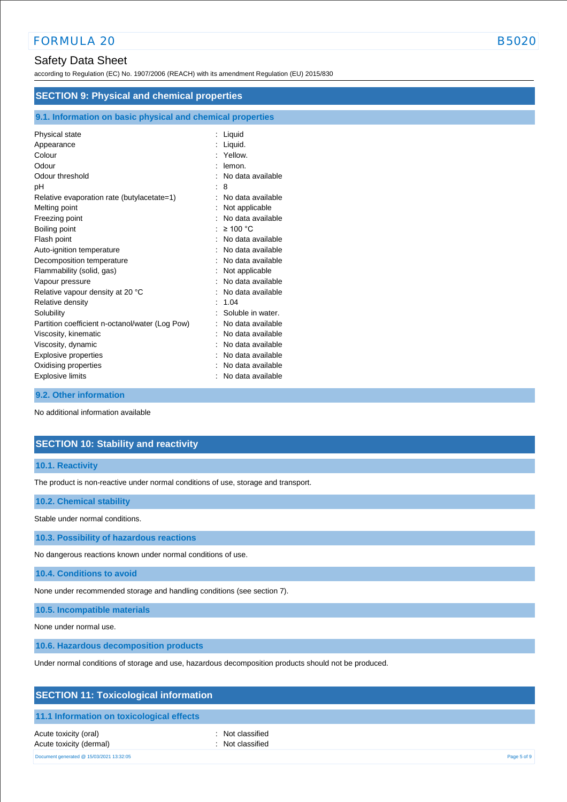# Safety Data Sheet

according to Regulation (EC) No. 1907/2006 (REACH) with its amendment Regulation (EU) 2015/830

| <b>SECTION 9: Physical and chemical properties</b>         |                   |  |
|------------------------------------------------------------|-------------------|--|
| 9.1. Information on basic physical and chemical properties |                   |  |
| Physical state                                             | : Liquid          |  |
| Appearance                                                 | Liquid.           |  |
| Colour                                                     | Yellow.           |  |
| Odour                                                      | lemon.            |  |
| Odour threshold                                            | No data available |  |
| рH                                                         | 8                 |  |
| Relative evaporation rate (butylacetate=1)                 | No data available |  |
| Melting point                                              | Not applicable    |  |
| Freezing point                                             | No data available |  |
| Boiling point                                              | $\geq 100$ °C     |  |
| Flash point                                                | No data available |  |
| Auto-ignition temperature                                  | No data available |  |
| Decomposition temperature                                  | No data available |  |
| Flammability (solid, gas)                                  | Not applicable    |  |
| Vapour pressure                                            | No data available |  |
| Relative vapour density at 20 °C                           | No data available |  |
| Relative density                                           | 1.04              |  |
| Solubility                                                 | Soluble in water. |  |
| Partition coefficient n-octanol/water (Log Pow)            | No data available |  |
| Viscosity, kinematic                                       | No data available |  |
| Viscosity, dynamic                                         | No data available |  |
| <b>Explosive properties</b>                                | No data available |  |
| Oxidising properties                                       | No data available |  |
| Explosive limits                                           | No data available |  |

#### **9.2. Other information**

No additional information available

# **SECTION 10: Stability and reactivity**

#### **10.1. Reactivity**

The product is non-reactive under normal conditions of use, storage and transport.

#### **10.2. Chemical stability**

Stable under normal conditions.

**10.3. Possibility of hazardous reactions**

No dangerous reactions known under normal conditions of use.

**10.4. Conditions to avoid**

None under recommended storage and handling conditions (see section 7).

**10.5. Incompatible materials**

None under normal use.

**10.6. Hazardous decomposition products**

Under normal conditions of storage and use, hazardous decomposition products should not be produced.

|  |  | <b>SECTION 11: Toxicological information</b> |  |
|--|--|----------------------------------------------|--|
|--|--|----------------------------------------------|--|

#### **11.1 Information on toxicological effects**

Acute toxicity (oral) **interval** to the control of the control of the control of the control of the control of the control of the control of the control of the control of the control of the control of the control of the co Acute toxicity (dermal) **Example 2** Constant Constant Constant Constant Constant Constant Constant Constant Constant Constant Constant Constant Constant Constant Constant Constant Constant Constant Constant Constant Consta

Document generated @ 15/03/2021 13:32:05 Page 5 of 9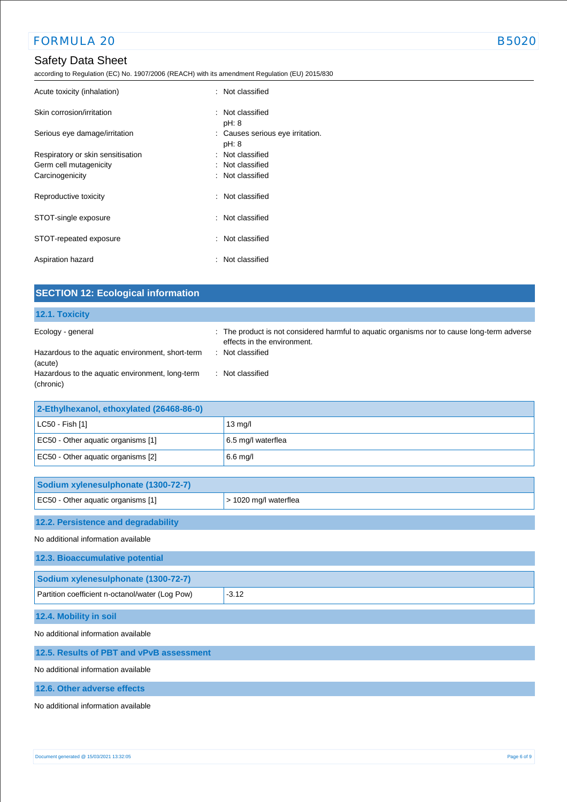# Safety Data Sheet

according to Regulation (EC) No. 1907/2006 (REACH) with its amendment Regulation (EU) 2015/830

| Acute toxicity (inhalation)       | : Not classified                          |  |
|-----------------------------------|-------------------------------------------|--|
| Skin corrosion/irritation         | : Not classified<br>pH: 8                 |  |
| Serious eye damage/irritation     | : Causes serious eye irritation.<br>pH: 8 |  |
| Respiratory or skin sensitisation | : Not classified                          |  |
| Germ cell mutagenicity            | : Not classified                          |  |
| Carcinogenicity                   | : Not classified                          |  |
| Reproductive toxicity             | : Not classified                          |  |
| STOT-single exposure              | : Not classified                          |  |
| STOT-repeated exposure            | : Not classified                          |  |
| Aspiration hazard                 | : Not classified                          |  |

| <b>SECTION 12: Ecological information</b>                                                                                                        |                                                                                                                                                                    |
|--------------------------------------------------------------------------------------------------------------------------------------------------|--------------------------------------------------------------------------------------------------------------------------------------------------------------------|
| 12.1. Toxicity                                                                                                                                   |                                                                                                                                                                    |
| Ecology - general<br>Hazardous to the aquatic environment, short-term<br>(acute)<br>Hazardous to the aquatic environment, long-term<br>(chronic) | : The product is not considered harmful to aquatic organisms nor to cause long-term adverse<br>effects in the environment.<br>: Not classified<br>: Not classified |
| 2-Ethylhexanol, ethoxylated (26468-86-0)                                                                                                         |                                                                                                                                                                    |
| LC50 - Fish [1]                                                                                                                                  | 13 mg/l                                                                                                                                                            |
| EC50 - Other aquatic organisms [1]                                                                                                               | 6.5 mg/l waterflea                                                                                                                                                 |
| EC50 - Other aquatic organisms [2]                                                                                                               | 6.6 mg/l                                                                                                                                                           |
| Sodium xylenesulphonate (1300-72-7)                                                                                                              |                                                                                                                                                                    |
| EC50 - Other aquatic organisms [1]                                                                                                               | > 1020 mg/l waterflea                                                                                                                                              |
| 12.2. Persistence and degradability                                                                                                              |                                                                                                                                                                    |
| No additional information available                                                                                                              |                                                                                                                                                                    |
| 12.3. Bioaccumulative potential                                                                                                                  |                                                                                                                                                                    |
| Sodium xylenesulphonate (1300-72-7)                                                                                                              |                                                                                                                                                                    |
| Partition coefficient n-octanol/water (Log Pow)                                                                                                  | $-3.12$                                                                                                                                                            |
| 12.4. Mobility in soil                                                                                                                           |                                                                                                                                                                    |
| No additional information available                                                                                                              |                                                                                                                                                                    |
| 12.5. Results of PBT and vPvB assessment                                                                                                         |                                                                                                                                                                    |
| No additional information available                                                                                                              |                                                                                                                                                                    |
| 12.6. Other adverse effects                                                                                                                      |                                                                                                                                                                    |

No additional information available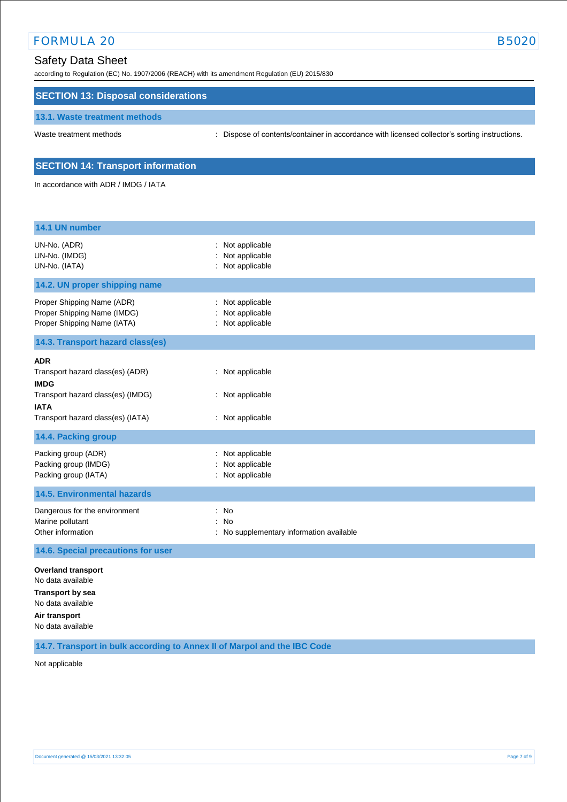according to Regulation (EC) No. 1907/2006 (REACH) with its amendment Regulation (EU) 2015/830

# **SECTION 13: Disposal considerations**

#### **13.1. Waste treatment methods**

Waste treatment methods : Dispose of contents/container in accordance with licensed collector's sorting instructions.

# **SECTION 14: Transport information**

In accordance with ADR / IMDG / IATA

| 14.1 UN number                                                                                                                                         |                                                                           |
|--------------------------------------------------------------------------------------------------------------------------------------------------------|---------------------------------------------------------------------------|
| UN-No. (ADR)<br>UN-No. (IMDG)<br>UN-No. (IATA)                                                                                                         | : Not applicable<br>Not applicable<br>Not applicable                      |
| 14.2. UN proper shipping name                                                                                                                          |                                                                           |
| Proper Shipping Name (ADR)<br>Proper Shipping Name (IMDG)<br>Proper Shipping Name (IATA)                                                               | Not applicable<br>Not applicable<br>: Not applicable                      |
| 14.3. Transport hazard class(es)                                                                                                                       |                                                                           |
| <b>ADR</b><br>Transport hazard class(es) (ADR)<br><b>IMDG</b><br>Transport hazard class(es) (IMDG)<br><b>IATA</b><br>Transport hazard class(es) (IATA) | Not applicable<br>: Not applicable<br>: Not applicable                    |
| 14.4. Packing group                                                                                                                                    |                                                                           |
| Packing group (ADR)<br>Packing group (IMDG)<br>Packing group (IATA)                                                                                    | Not applicable<br>Not applicable<br>Not applicable                        |
| <b>14.5. Environmental hazards</b>                                                                                                                     |                                                                           |
| Dangerous for the environment<br>Marine pollutant<br>Other information                                                                                 | No<br>$\cdot$<br><b>No</b><br>÷<br>No supplementary information available |
| 14.6. Special precautions for user                                                                                                                     |                                                                           |
| <b>Overland transport</b><br>No data available<br><b>Transport by sea</b><br>No data available<br>Air transport<br>No data available                   |                                                                           |

**14.7. Transport in bulk according to Annex II of Marpol and the IBC Code**

Not applicable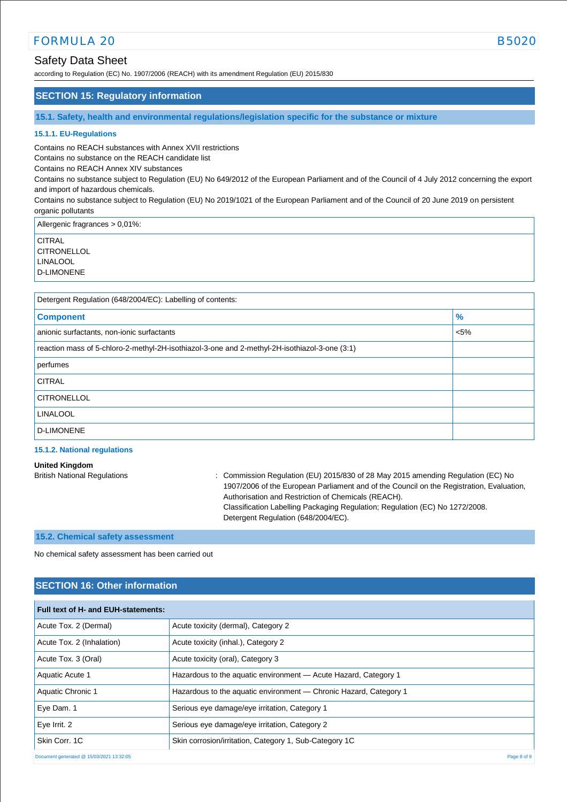# Safety Data Sheet

according to Regulation (EC) No. 1907/2006 (REACH) with its amendment Regulation (EU) 2015/830

# **SECTION 15: Regulatory information**

**15.1. Safety, health and environmental regulations/legislation specific for the substance or mixture**

#### **15.1.1. EU-Regulations**

Contains no REACH substances with Annex XVII restrictions

Contains no substance on the REACH candidate list

Contains no REACH Annex XIV substances

Contains no substance subject to Regulation (EU) No 649/2012 of the European Parliament and of the Council of 4 July 2012 concerning the export and import of hazardous chemicals.

Contains no substance subject to Regulation (EU) No 2019/1021 of the European Parliament and of the Council of 20 June 2019 on persistent organic pollutants

Allergenic fragrances > 0,01%:

**CITRAL CITRONELLOL** LINALOOL

D-LIMONENE

| Detergent Regulation (648/2004/EC): Labelling of contents:                                    |        |  |
|-----------------------------------------------------------------------------------------------|--------|--|
| <b>Component</b>                                                                              | $\%$   |  |
| anionic surfactants, non-ionic surfactants                                                    | $<$ 5% |  |
| reaction mass of 5-chloro-2-methyl-2H-isothiazol-3-one and 2-methyl-2H-isothiazol-3-one (3:1) |        |  |
| perfumes                                                                                      |        |  |
| <b>CITRAL</b>                                                                                 |        |  |
| <b>CITRONELLOL</b>                                                                            |        |  |
| <b>LINALOOL</b>                                                                               |        |  |
| D-LIMONENE                                                                                    |        |  |

#### **15.1.2. National regulations**

# **United Kingdom**

British National Regulations : Commission Regulation (EU) 2015/830 of 28 May 2015 amending Regulation (EC) No 1907/2006 of the European Parliament and of the Council on the Registration, Evaluation, Authorisation and Restriction of Chemicals (REACH). Classification Labelling Packaging Regulation; Regulation (EC) No 1272/2008. Detergent Regulation (648/2004/EC).

# **15.2. Chemical safety assessment**

No chemical safety assessment has been carried out

# **SECTION 16: Other information**

| Full text of H- and EUH-statements:      |                                                                   |  |
|------------------------------------------|-------------------------------------------------------------------|--|
| Acute Tox. 2 (Dermal)                    | Acute toxicity (dermal), Category 2                               |  |
| Acute Tox. 2 (Inhalation)                | Acute toxicity (inhal.), Category 2                               |  |
| Acute Tox. 3 (Oral)                      | Acute toxicity (oral), Category 3                                 |  |
| Aquatic Acute 1                          | Hazardous to the aquatic environment - Acute Hazard, Category 1   |  |
| Aquatic Chronic 1                        | Hazardous to the aquatic environment — Chronic Hazard, Category 1 |  |
| Eye Dam. 1                               | Serious eye damage/eye irritation, Category 1                     |  |
| Eye Irrit. 2                             | Serious eye damage/eye irritation, Category 2                     |  |
| Skin Corr, 1C                            | Skin corrosion/irritation, Category 1, Sub-Category 1C            |  |
| Document generated @ 15/03/2021 13:32:05 | Page 8 of 9                                                       |  |